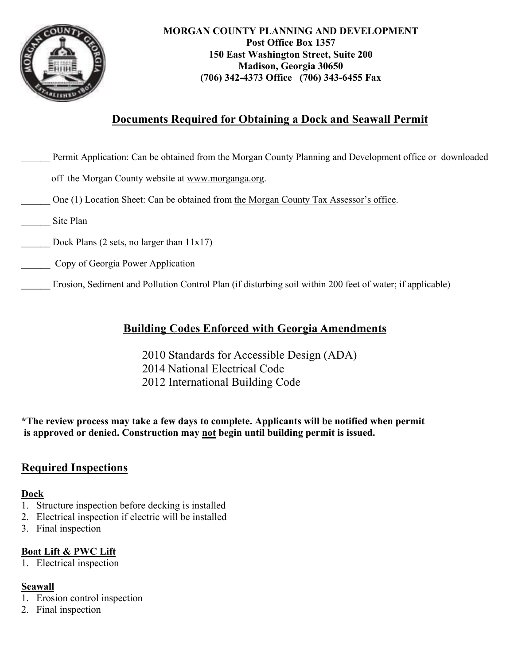

## **Documents Required for Obtaining a Dock and Seawall Permit**

| Permit Application: Can be obtained from the Morgan County Planning and Development office or downloaded  |  |
|-----------------------------------------------------------------------------------------------------------|--|
| off the Morgan County website at www.morganga.org.                                                        |  |
| One (1) Location Sheet: Can be obtained from the Morgan County Tax Assessor's office.                     |  |
| Site Plan                                                                                                 |  |
| Dock Plans (2 sets, no larger than $11x17$ )                                                              |  |
| Copy of Georgia Power Application                                                                         |  |
| Erosion, Sediment and Pollution Control Plan (if disturbing soil within 200 feet of water; if applicable) |  |

## **Building Codes Enforced with Georgia Amendments**

 2010 Standards for Accessible Design (ADA) 2014 National Electrical Code 2012 International Building Code

**\*The review process may take a few days to complete. Applicants will be notified when permit is approved or denied. Construction may not begin until building permit is issued.** 

## **Required Inspections**

#### **Dock**

- 1. Structure inspection before decking is installed
- 2. Electrical inspection if electric will be installed
- 3. Final inspection

#### **Boat Lift & PWC Lift**

1. Electrical inspection

### **Seawall**

- 1. Erosion control inspection
- 2. Final inspection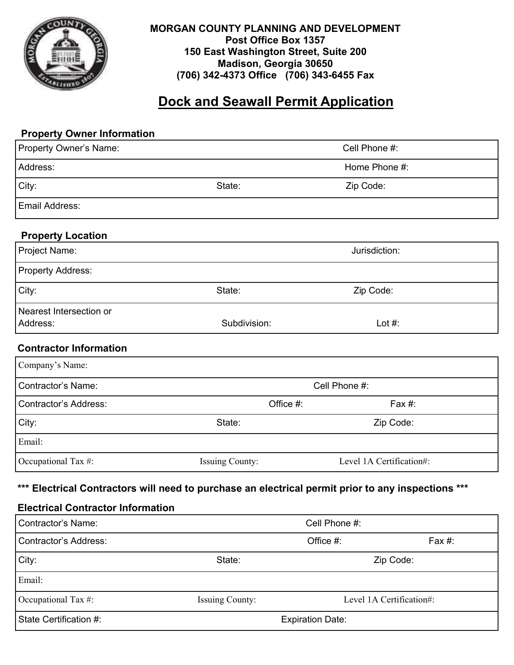

#### **MORGAN COUNTY PLANNING AND DEVELOPMENT Post Office Box 1357 150 East Washington Street, Suite 200 Madison, Georgia 30650 (706) 342-4373 Office (706) 343-6455 Fax**

## **Dock and Seawall Permit Application**

# **Property Owner Information**  Property Owner's Name: Cell Phone #: Address: No. 2006. The Second Second Second Second Second Second Second Second Second Second Second Second Second Second Second Second Second Second Second Second Second Second Second Second Second Second Second Second Sec City: State: Zip Code: Email Address: **Property Location**  Project Name: Jurisdiction: Analysis of the United States of the United States of the United States of the United States of the United States of the United States of the United States of the United States of the United Sta Property Address: City: City: City: City: City: City: City: City: Code: Zip Code: Zip Code: Zip Code: Zip Code: Zip Code: Zip Code: Zip Code: Zip Code: Zip Code: Zip Code: Zip Code: Zip Code: Zip Code: Zip Code: Zip Code: Zip Code: Zip Code Nearest Intersection or Address: Subdivision: Lot #: **Contractor Information**  Contractor's Name: Cell Phone #: Contractor's Address: Office #: Fax #: City: Zip Code: State: State: State: Zip Code: Email: Occupational Tax #: Issuing County: Level 1A Certification#: Company's Name:

#### **\*\*\* Electrical Contractors will need to purchase an electrical permit prior to any inspections \*\*\***

#### **Electrical Contractor Information**

| Contractor's Name:     | Cell Phone #:           |                          |           |  |
|------------------------|-------------------------|--------------------------|-----------|--|
| Contractor's Address:  |                         | Office #:                | Fax $#$ : |  |
| City:                  | State:                  | Zip Code:                |           |  |
| Email:                 |                         |                          |           |  |
| Occupational Tax #:    | <b>Issuing County:</b>  | Level 1A Certification#: |           |  |
| State Certification #: | <b>Expiration Date:</b> |                          |           |  |